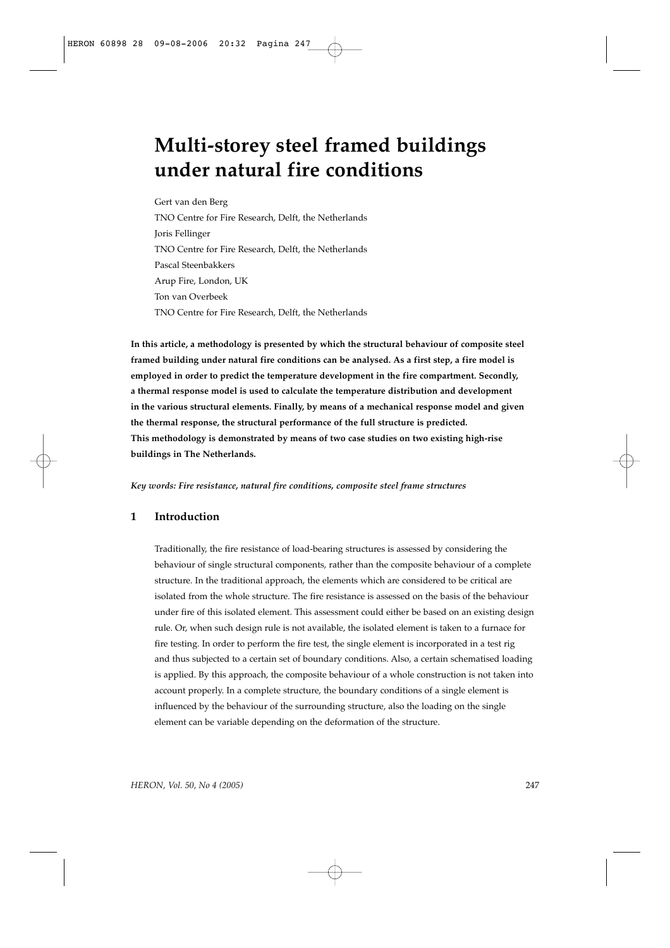# **Multi-storey steel framed buildings under natural fire conditions**

Gert van den Berg TNO Centre for Fire Research, Delft, the Netherlands Joris Fellinger TNO Centre for Fire Research, Delft, the Netherlands Pascal Steenbakkers Arup Fire, London, UK Ton van Overbeek TNO Centre for Fire Research, Delft, the Netherlands

**In this article, a methodology is presented by which the structural behaviour of composite steel framed building under natural fire conditions can be analysed. As a first step, a fire model is employed in order to predict the temperature development in the fire compartment. Secondly, a thermal response model is used to calculate the temperature distribution and development in the various structural elements. Finally, by means of a mechanical response model and given the thermal response, the structural performance of the full structure is predicted. This methodology is demonstrated by means of two case studies on two existing high-rise buildings in The Netherlands.**

*Key words: Fire resistance, natural fire conditions, composite steel frame structures*

# **1 Introduction**

Traditionally, the fire resistance of load-bearing structures is assessed by considering the behaviour of single structural components, rather than the composite behaviour of a complete structure. In the traditional approach, the elements which are considered to be critical are isolated from the whole structure. The fire resistance is assessed on the basis of the behaviour under fire of this isolated element. This assessment could either be based on an existing design rule. Or, when such design rule is not available, the isolated element is taken to a furnace for fire testing. In order to perform the fire test, the single element is incorporated in a test rig and thus subjected to a certain set of boundary conditions. Also, a certain schematised loading is applied. By this approach, the composite behaviour of a whole construction is not taken into account properly. In a complete structure, the boundary conditions of a single element is influenced by the behaviour of the surrounding structure, also the loading on the single element can be variable depending on the deformation of the structure.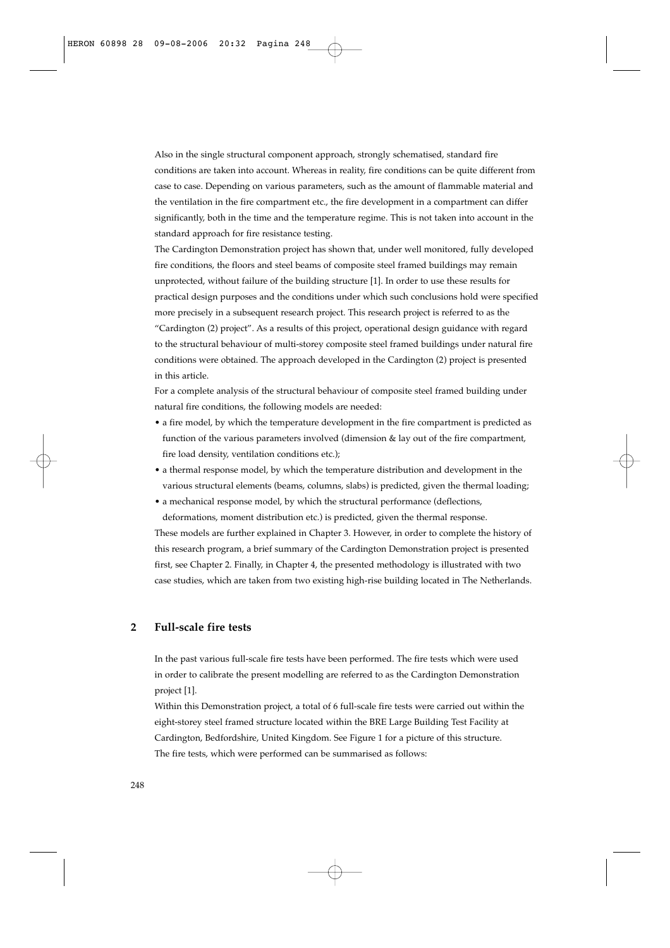Also in the single structural component approach, strongly schematised, standard fire conditions are taken into account. Whereas in reality, fire conditions can be quite different from case to case. Depending on various parameters, such as the amount of flammable material and the ventilation in the fire compartment etc., the fire development in a compartment can differ significantly, both in the time and the temperature regime. This is not taken into account in the standard approach for fire resistance testing.

The Cardington Demonstration project has shown that, under well monitored, fully developed fire conditions, the floors and steel beams of composite steel framed buildings may remain unprotected, without failure of the building structure [1]. In order to use these results for practical design purposes and the conditions under which such conclusions hold were specified more precisely in a subsequent research project. This research project is referred to as the "Cardington (2) project". As a results of this project, operational design guidance with regard to the structural behaviour of multi-storey composite steel framed buildings under natural fire conditions were obtained. The approach developed in the Cardington (2) project is presented in this article.

For a complete analysis of the structural behaviour of composite steel framed building under natural fire conditions, the following models are needed:

- a fire model, by which the temperature development in the fire compartment is predicted as function of the various parameters involved (dimension & lay out of the fire compartment, fire load density, ventilation conditions etc.);
- a thermal response model, by which the temperature distribution and development in the various structural elements (beams, columns, slabs) is predicted, given the thermal loading;
- a mechanical response model, by which the structural performance (deflections, deformations, moment distribution etc.) is predicted, given the thermal response.

These models are further explained in Chapter 3. However, in order to complete the history of this research program, a brief summary of the Cardington Demonstration project is presented first, see Chapter 2. Finally, in Chapter 4, the presented methodology is illustrated with two case studies, which are taken from two existing high-rise building located in The Netherlands.

# **2 Full-scale fire tests**

In the past various full-scale fire tests have been performed. The fire tests which were used in order to calibrate the present modelling are referred to as the Cardington Demonstration project [1].

Within this Demonstration project, a total of 6 full-scale fire tests were carried out within the eight-storey steel framed structure located within the BRE Large Building Test Facility at Cardington, Bedfordshire, United Kingdom. See Figure 1 for a picture of this structure. The fire tests, which were performed can be summarised as follows: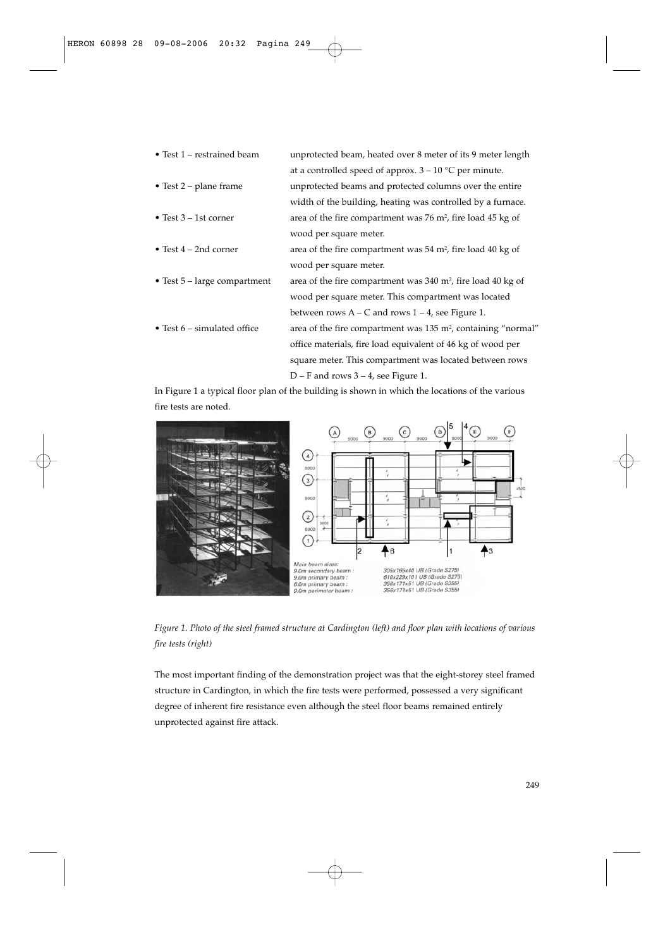- Test 1 restrained beam unprotected beam, heated over 8 meter of its 9 meter length
- at a controlled speed of approx.  $3 10$  °C per minute.
- Test 2 plane frame unprotected beams and protected columns over the entire width of the building, heating was controlled by a furnace. • Test 3 – 1st corner area of the fire compartment was 76 m<sup>2</sup>, fire load 45 kg of wood per square meter.
- Test 4 2nd corner area of the fire compartment was 54 m<sup>2</sup>, fire load 40 kg of
- 
- 

wood per square meter. • Test  $5$  – large compartment area of the fire compartment was 340 m<sup>2</sup>, fire load 40 kg of wood per square meter. This compartment was located between rows  $A - C$  and rows  $1 - 4$ , see Figure 1. • Test  $6$  – simulated office area of the fire compartment was  $135 \text{ m}^2$ , containing "normal" office materials, fire load equivalent of 46 kg of wood per square meter. This compartment was located between rows D – F and rows 3 – 4, see Figure 1.

In Figure 1 a typical floor plan of the building is shown in which the locations of the various fire tests are noted.



*Figure 1. Photo of the steel framed structure at Cardington (left) and floor plan with locations of various fire tests (right)*

The most important finding of the demonstration project was that the eight-storey steel framed structure in Cardington, in which the fire tests were performed, possessed a very significant degree of inherent fire resistance even although the steel floor beams remained entirely unprotected against fire attack.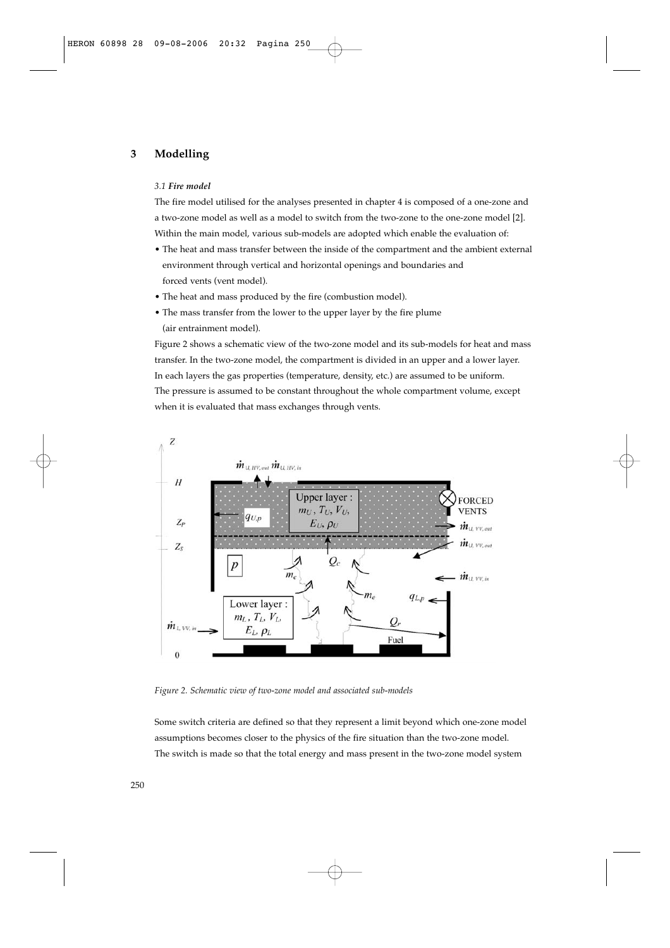# **3 Modelling**

#### *3.1 Fire model*

The fire model utilised for the analyses presented in chapter 4 is composed of a one-zone and a two-zone model as well as a model to switch from the two-zone to the one-zone model [2]. Within the main model, various sub-models are adopted which enable the evaluation of:

- The heat and mass transfer between the inside of the compartment and the ambient external environment through vertical and horizontal openings and boundaries and forced vents (vent model).
- The heat and mass produced by the fire (combustion model).
- The mass transfer from the lower to the upper layer by the fire plume (air entrainment model).

Figure 2 shows a schematic view of the two-zone model and its sub-models for heat and mass transfer. In the two-zone model, the compartment is divided in an upper and a lower layer. In each layers the gas properties (temperature, density, etc.) are assumed to be uniform. The pressure is assumed to be constant throughout the whole compartment volume, except when it is evaluated that mass exchanges through vents.



*Figure 2. Schematic view of two-zone model and associated sub-models*

Some switch criteria are defined so that they represent a limit beyond which one-zone model assumptions becomes closer to the physics of the fire situation than the two-zone model. The switch is made so that the total energy and mass present in the two-zone model system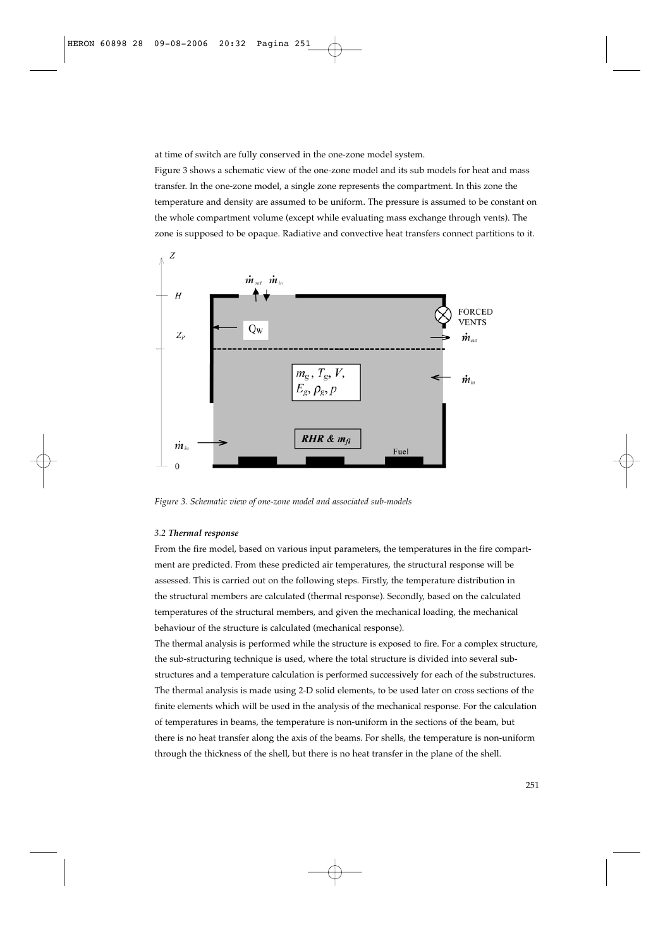at time of switch are fully conserved in the one-zone model system.

Figure 3 shows a schematic view of the one-zone model and its sub models for heat and mass transfer. In the one-zone model, a single zone represents the compartment. In this zone the temperature and density are assumed to be uniform. The pressure is assumed to be constant on the whole compartment volume (except while evaluating mass exchange through vents). The zone is supposed to be opaque. Radiative and convective heat transfers connect partitions to it.



*Figure 3. Schematic view of one-zone model and associated sub-models*

## *3.2 Thermal response*

From the fire model, based on various input parameters, the temperatures in the fire compartment are predicted. From these predicted air temperatures, the structural response will be assessed. This is carried out on the following steps. Firstly, the temperature distribution in the structural members are calculated (thermal response). Secondly, based on the calculated temperatures of the structural members, and given the mechanical loading, the mechanical behaviour of the structure is calculated (mechanical response).

The thermal analysis is performed while the structure is exposed to fire. For a complex structure, the sub-structuring technique is used, where the total structure is divided into several substructures and a temperature calculation is performed successively for each of the substructures. The thermal analysis is made using 2-D solid elements, to be used later on cross sections of the finite elements which will be used in the analysis of the mechanical response. For the calculation of temperatures in beams, the temperature is non-uniform in the sections of the beam, but there is no heat transfer along the axis of the beams. For shells, the temperature is non-uniform through the thickness of the shell, but there is no heat transfer in the plane of the shell.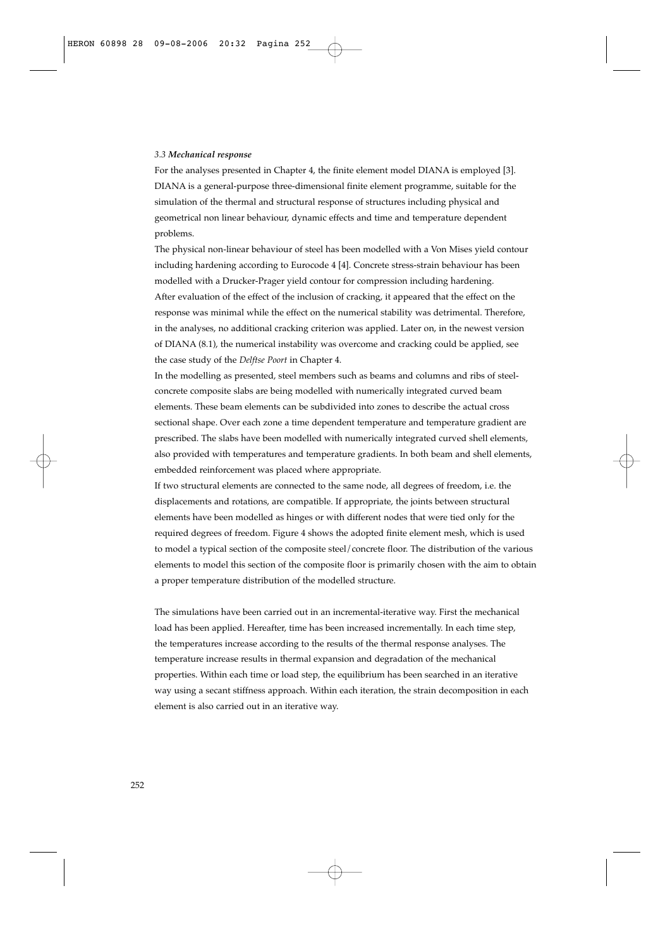#### *3.3 Mechanical response*

For the analyses presented in Chapter 4, the finite element model DIANA is employed [3]. DIANA is a general-purpose three-dimensional finite element programme, suitable for the simulation of the thermal and structural response of structures including physical and geometrical non linear behaviour, dynamic effects and time and temperature dependent problems.

The physical non-linear behaviour of steel has been modelled with a Von Mises yield contour including hardening according to Eurocode 4 [4]. Concrete stress-strain behaviour has been modelled with a Drucker-Prager yield contour for compression including hardening. After evaluation of the effect of the inclusion of cracking, it appeared that the effect on the response was minimal while the effect on the numerical stability was detrimental. Therefore, in the analyses, no additional cracking criterion was applied. Later on, in the newest version of DIANA (8.1), the numerical instability was overcome and cracking could be applied, see the case study of the *Delftse Poort* in Chapter 4.

In the modelling as presented, steel members such as beams and columns and ribs of steelconcrete composite slabs are being modelled with numerically integrated curved beam elements. These beam elements can be subdivided into zones to describe the actual cross sectional shape. Over each zone a time dependent temperature and temperature gradient are prescribed. The slabs have been modelled with numerically integrated curved shell elements, also provided with temperatures and temperature gradients. In both beam and shell elements, embedded reinforcement was placed where appropriate.

If two structural elements are connected to the same node, all degrees of freedom, i.e. the displacements and rotations, are compatible. If appropriate, the joints between structural elements have been modelled as hinges or with different nodes that were tied only for the required degrees of freedom. Figure 4 shows the adopted finite element mesh, which is used to model a typical section of the composite steel/concrete floor. The distribution of the various elements to model this section of the composite floor is primarily chosen with the aim to obtain a proper temperature distribution of the modelled structure.

The simulations have been carried out in an incremental-iterative way. First the mechanical load has been applied. Hereafter, time has been increased incrementally. In each time step, the temperatures increase according to the results of the thermal response analyses. The temperature increase results in thermal expansion and degradation of the mechanical properties. Within each time or load step, the equilibrium has been searched in an iterative way using a secant stiffness approach. Within each iteration, the strain decomposition in each element is also carried out in an iterative way.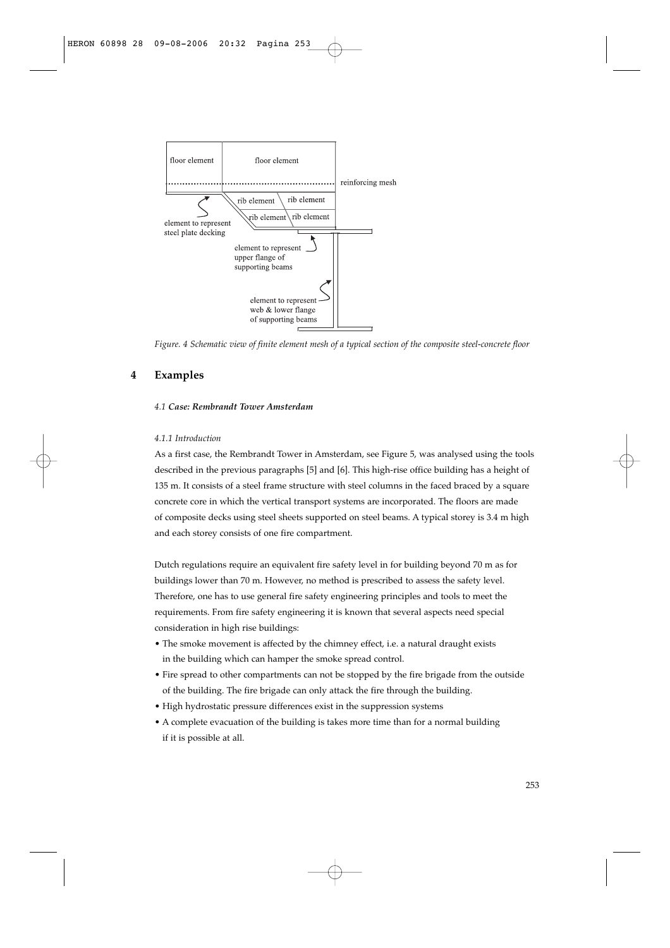

*Figure. 4 Schematic view of finite element mesh of a typical section of the composite steel-concrete floor*

# **4 Examples**

## *4.1 Case: Rembrandt Tower Amsterdam*

## *4.1.1 Introduction*

As a first case, the Rembrandt Tower in Amsterdam, see Figure 5, was analysed using the tools described in the previous paragraphs [5] and [6]. This high-rise office building has a height of 135 m. It consists of a steel frame structure with steel columns in the faced braced by a square concrete core in which the vertical transport systems are incorporated. The floors are made of composite decks using steel sheets supported on steel beams. A typical storey is 3.4 m high and each storey consists of one fire compartment.

Dutch regulations require an equivalent fire safety level in for building beyond 70 m as for buildings lower than 70 m. However, no method is prescribed to assess the safety level. Therefore, one has to use general fire safety engineering principles and tools to meet the requirements. From fire safety engineering it is known that several aspects need special consideration in high rise buildings:

- The smoke movement is affected by the chimney effect, i.e. a natural draught exists in the building which can hamper the smoke spread control.
- Fire spread to other compartments can not be stopped by the fire brigade from the outside of the building. The fire brigade can only attack the fire through the building.
- High hydrostatic pressure differences exist in the suppression systems
- A complete evacuation of the building is takes more time than for a normal building if it is possible at all.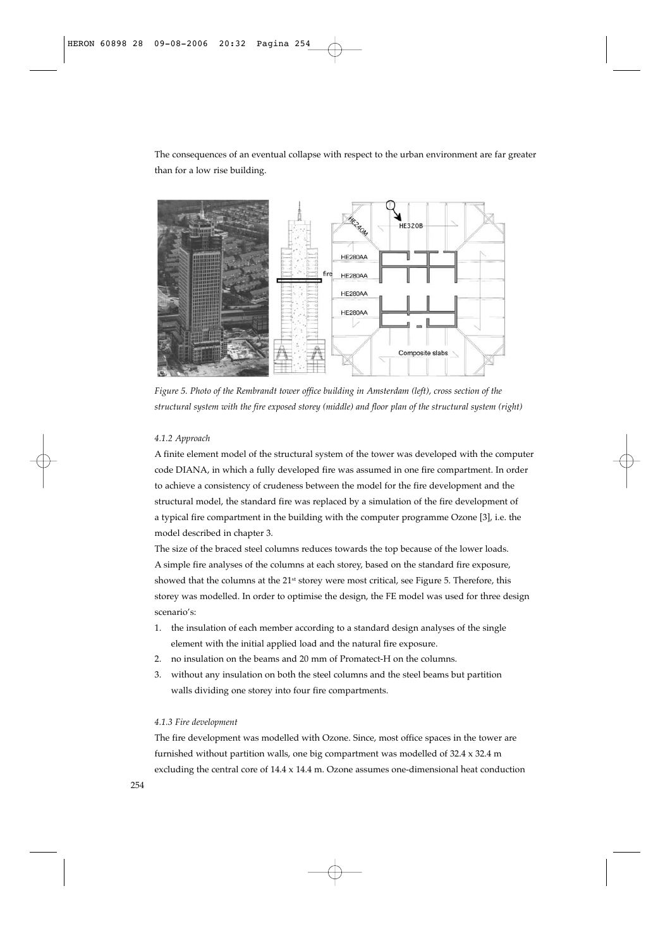The consequences of an eventual collapse with respect to the urban environment are far greater than for a low rise building.



*Figure 5. Photo of the Rembrandt tower office building in Amsterdam (left), cross section of the structural system with the fire exposed storey (middle) and floor plan of the structural system (right)*

#### *4.1.2 Approach*

A finite element model of the structural system of the tower was developed with the computer code DIANA, in which a fully developed fire was assumed in one fire compartment. In order to achieve a consistency of crudeness between the model for the fire development and the structural model, the standard fire was replaced by a simulation of the fire development of a typical fire compartment in the building with the computer programme Ozone [3], i.e. the model described in chapter 3.

The size of the braced steel columns reduces towards the top because of the lower loads. A simple fire analyses of the columns at each storey, based on the standard fire exposure, showed that the columns at the 21<sup>st</sup> storey were most critical, see Figure 5. Therefore, this storey was modelled. In order to optimise the design, the FE model was used for three design scenario's:

- 1. the insulation of each member according to a standard design analyses of the single element with the initial applied load and the natural fire exposure.
- 2. no insulation on the beams and 20 mm of Promatect-H on the columns.
- 3. without any insulation on both the steel columns and the steel beams but partition walls dividing one storey into four fire compartments.

## *4.1.3 Fire development*

The fire development was modelled with Ozone. Since, most office spaces in the tower are furnished without partition walls, one big compartment was modelled of 32.4 x 32.4 m excluding the central core of 14.4 x 14.4 m. Ozone assumes one-dimensional heat conduction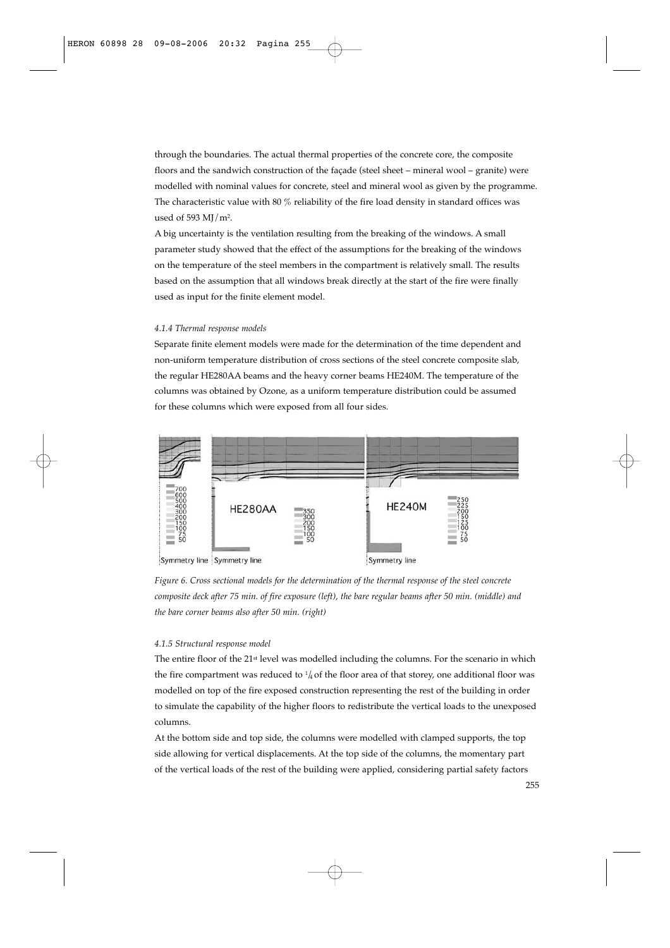through the boundaries. The actual thermal properties of the concrete core, the composite floors and the sandwich construction of the façade (steel sheet – mineral wool – granite) were modelled with nominal values for concrete, steel and mineral wool as given by the programme. The characteristic value with 80 % reliability of the fire load density in standard offices was used of 593  $MI/m<sup>2</sup>$ .

A big uncertainty is the ventilation resulting from the breaking of the windows. A small parameter study showed that the effect of the assumptions for the breaking of the windows on the temperature of the steel members in the compartment is relatively small. The results based on the assumption that all windows break directly at the start of the fire were finally used as input for the finite element model.

#### *4.1.4 Thermal response models*

Separate finite element models were made for the determination of the time dependent and non-uniform temperature distribution of cross sections of the steel concrete composite slab, the regular HE280AA beams and the heavy corner beams HE240M. The temperature of the columns was obtained by Ozone, as a uniform temperature distribution could be assumed for these columns which were exposed from all four sides.



*Figure 6. Cross sectional models for the determination of the thermal response of the steel concrete composite deck after 75 min. of fire exposure (left), the bare regular beams after 50 min. (middle) and the bare corner beams also after 50 min. (right)*

#### *4.1.5 Structural response model*

The entire floor of the 21<sup>st</sup> level was modelled including the columns. For the scenario in which the fire compartment was reduced to  $\frac{1}{4}$  of the floor area of that storey, one additional floor was modelled on top of the fire exposed construction representing the rest of the building in order to simulate the capability of the higher floors to redistribute the vertical loads to the unexposed columns.

At the bottom side and top side, the columns were modelled with clamped supports, the top side allowing for vertical displacements. At the top side of the columns, the momentary part of the vertical loads of the rest of the building were applied, considering partial safety factors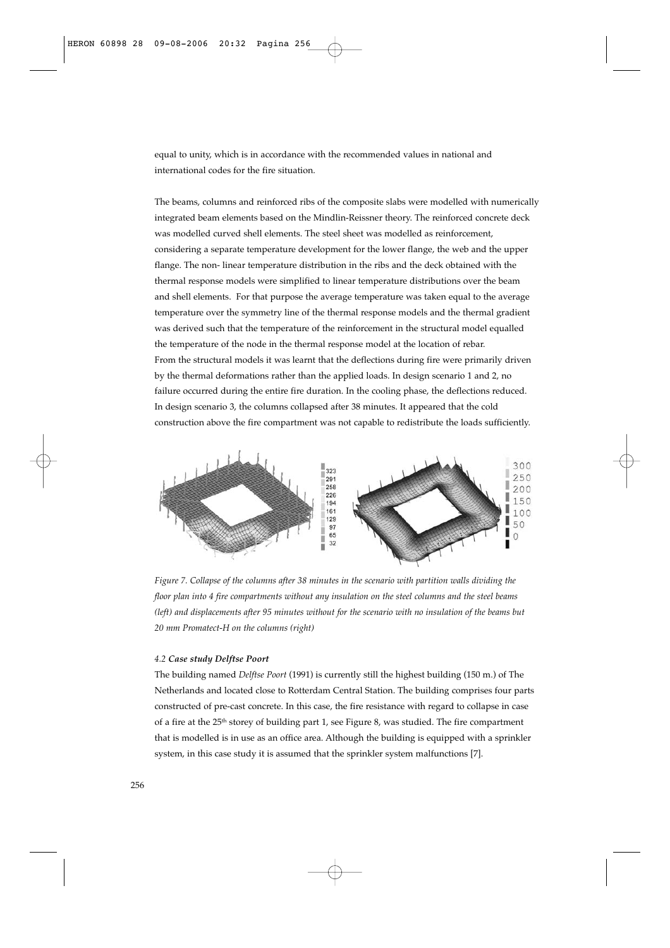equal to unity, which is in accordance with the recommended values in national and international codes for the fire situation.

The beams, columns and reinforced ribs of the composite slabs were modelled with numerically integrated beam elements based on the Mindlin-Reissner theory. The reinforced concrete deck was modelled curved shell elements. The steel sheet was modelled as reinforcement, considering a separate temperature development for the lower flange, the web and the upper flange. The non- linear temperature distribution in the ribs and the deck obtained with the thermal response models were simplified to linear temperature distributions over the beam and shell elements. For that purpose the average temperature was taken equal to the average temperature over the symmetry line of the thermal response models and the thermal gradient was derived such that the temperature of the reinforcement in the structural model equalled the temperature of the node in the thermal response model at the location of rebar. From the structural models it was learnt that the deflections during fire were primarily driven by the thermal deformations rather than the applied loads. In design scenario 1 and 2, no failure occurred during the entire fire duration. In the cooling phase, the deflections reduced. In design scenario 3, the columns collapsed after 38 minutes. It appeared that the cold construction above the fire compartment was not capable to redistribute the loads sufficiently.



*Figure 7. Collapse of the columns after 38 minutes in the scenario with partition walls dividing the floor plan into 4 fire compartments without any insulation on the steel columns and the steel beams (left) and displacements after 95 minutes without for the scenario with no insulation of the beams but 20 mm Promatect-H on the columns (right)*

## *4.2 Case study Delftse Poort*

The building named *Delftse Poort* (1991) is currently still the highest building (150 m.) of The Netherlands and located close to Rotterdam Central Station. The building comprises four parts constructed of pre-cast concrete. In this case, the fire resistance with regard to collapse in case of a fire at the 25<sup>th</sup> storey of building part 1, see Figure 8, was studied. The fire compartment that is modelled is in use as an office area. Although the building is equipped with a sprinkler system, in this case study it is assumed that the sprinkler system malfunctions [7].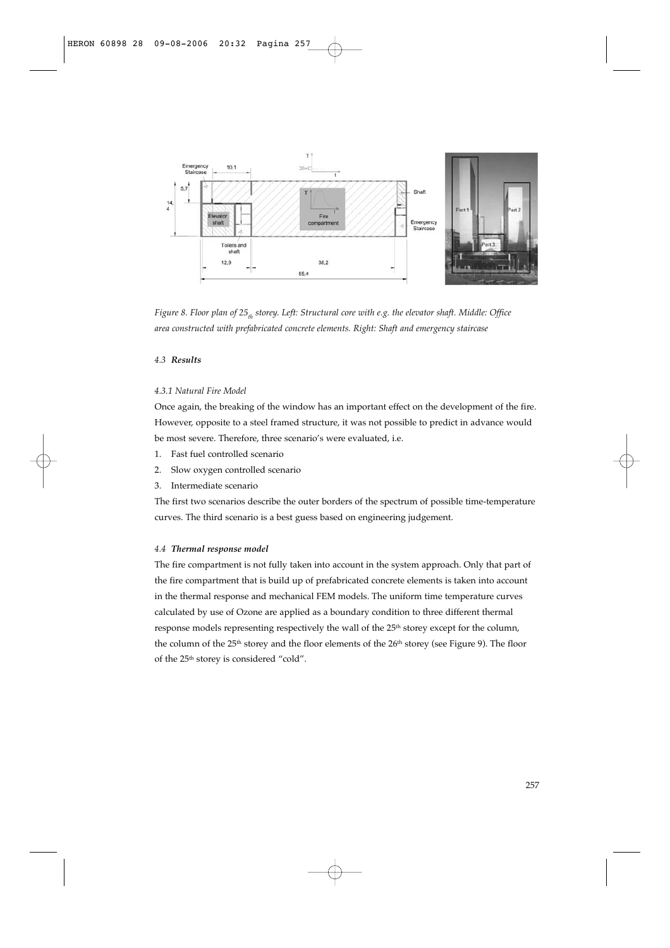

*Figure 8. Floor plan of 25<sub>th</sub> storey. Left: Structural core with e.g. the elevator shaft. Middle: Office area constructed with prefabricated concrete elements. Right: Shaft and emergency staircase*

## *4.3 Results*

## *4.3.1 Natural Fire Model*

Once again, the breaking of the window has an important effect on the development of the fire. However, opposite to a steel framed structure, it was not possible to predict in advance would be most severe. Therefore, three scenario's were evaluated, i.e.

- 1. Fast fuel controlled scenario
- 2. Slow oxygen controlled scenario
- 3. Intermediate scenario

The first two scenarios describe the outer borders of the spectrum of possible time-temperature curves. The third scenario is a best guess based on engineering judgement.

## *4.4 Thermal response model*

The fire compartment is not fully taken into account in the system approach. Only that part of the fire compartment that is build up of prefabricated concrete elements is taken into account in the thermal response and mechanical FEM models. The uniform time temperature curves calculated by use of Ozone are applied as a boundary condition to three different thermal response models representing respectively the wall of the 25<sup>th</sup> storey except for the column, the column of the 25<sup>th</sup> storey and the floor elements of the 26<sup>th</sup> storey (see Figure 9). The floor of the 25th storey is considered "cold".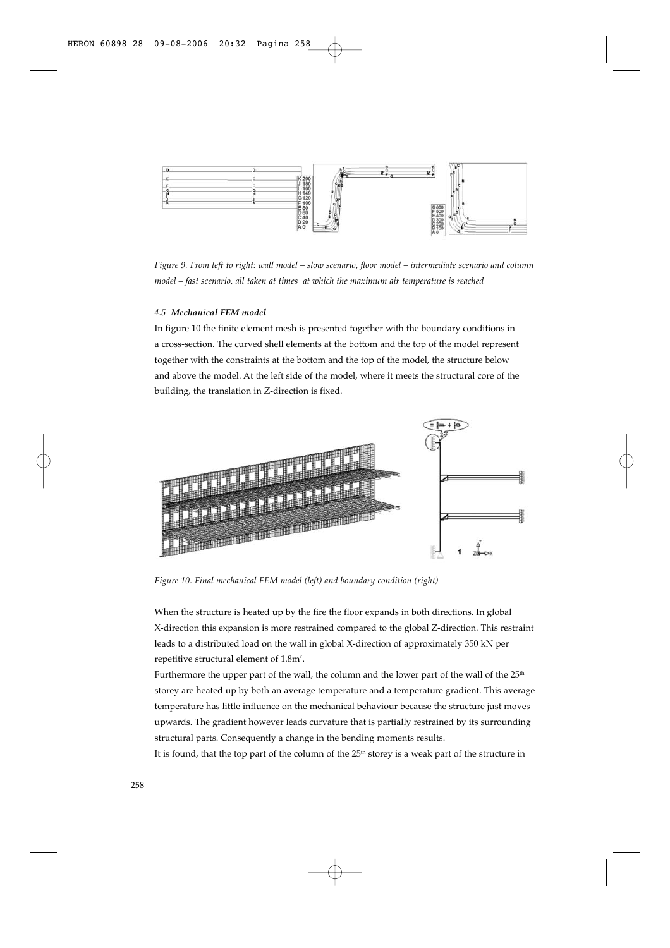

*Figure 9. From left to right: wall model – slow scenario, floor model – intermediate scenario and column model – fast scenario, all taken at times at which the maximum air temperature is reached*

#### *4.5 Mechanical FEM model*

In figure 10 the finite element mesh is presented together with the boundary conditions in a cross-section. The curved shell elements at the bottom and the top of the model represent together with the constraints at the bottom and the top of the model, the structure below and above the model. At the left side of the model, where it meets the structural core of the building, the translation in Z-direction is fixed.



*Figure 10. Final mechanical FEM model (left) and boundary condition (right)*

When the structure is heated up by the fire the floor expands in both directions. In global X-direction this expansion is more restrained compared to the global Z-direction. This restraint leads to a distributed load on the wall in global X-direction of approximately 350 kN per repetitive structural element of 1.8m'.

Furthermore the upper part of the wall, the column and the lower part of the wall of the 25<sup>th</sup> storey are heated up by both an average temperature and a temperature gradient. This average temperature has little influence on the mechanical behaviour because the structure just moves upwards. The gradient however leads curvature that is partially restrained by its surrounding structural parts. Consequently a change in the bending moments results.

It is found, that the top part of the column of the 25<sup>th</sup> storey is a weak part of the structure in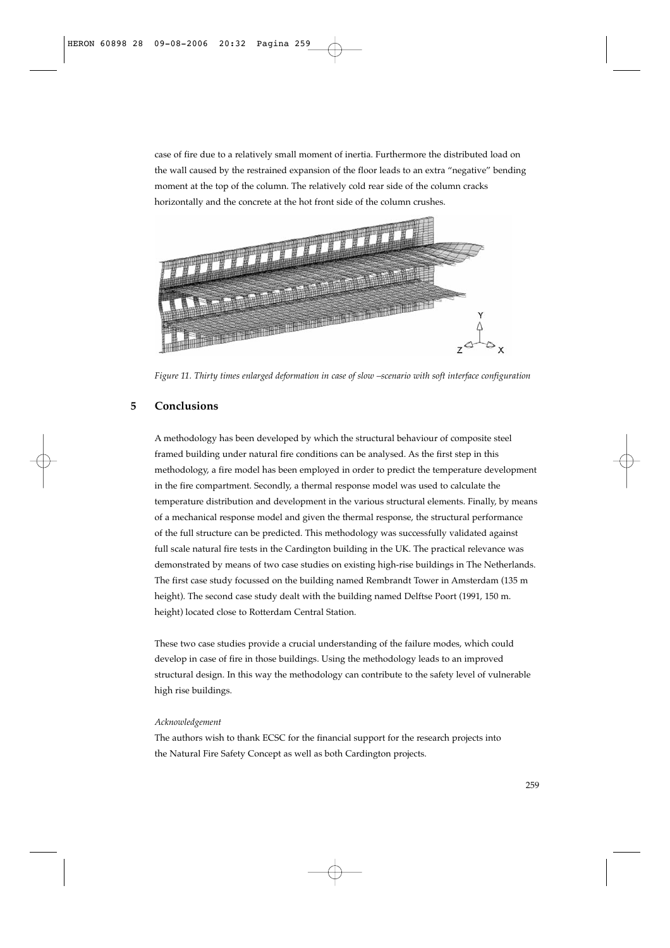case of fire due to a relatively small moment of inertia. Furthermore the distributed load on the wall caused by the restrained expansion of the floor leads to an extra "negative" bending moment at the top of the column. The relatively cold rear side of the column cracks horizontally and the concrete at the hot front side of the column crushes.



*Figure 11. Thirty times enlarged deformation in case of slow –scenario with soft interface configuration* 

## **5 Conclusions**

A methodology has been developed by which the structural behaviour of composite steel framed building under natural fire conditions can be analysed. As the first step in this methodology, a fire model has been employed in order to predict the temperature development in the fire compartment. Secondly, a thermal response model was used to calculate the temperature distribution and development in the various structural elements. Finally, by means of a mechanical response model and given the thermal response, the structural performance of the full structure can be predicted. This methodology was successfully validated against full scale natural fire tests in the Cardington building in the UK. The practical relevance was demonstrated by means of two case studies on existing high-rise buildings in The Netherlands. The first case study focussed on the building named Rembrandt Tower in Amsterdam (135 m height). The second case study dealt with the building named Delftse Poort (1991, 150 m. height) located close to Rotterdam Central Station.

These two case studies provide a crucial understanding of the failure modes, which could develop in case of fire in those buildings. Using the methodology leads to an improved structural design. In this way the methodology can contribute to the safety level of vulnerable high rise buildings.

#### *Acknowledgement*

The authors wish to thank ECSC for the financial support for the research projects into the Natural Fire Safety Concept as well as both Cardington projects.